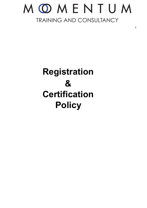### MOMENTUM TRAINING AND CONSULTANCY

1

### **Registration & Certification Policy**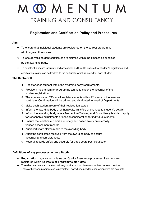# OMENTUM TRAINING AND CONSULTANCY

### **Registration and Certification Policy and Procedures**

#### **Aim**:

- ❖ To ensure that individual students are registered on the correct programme within agreed timescales.
- ❖ To ensure valid student certificates are claimed within the timescales specified by the awarding body.
- ❖ To construct a secure, accurate and accessible audit trail to ensure that student's registration and certification claims can be tracked to the certificate which is issued for each student.

#### **The Centre will:**

- ❖ Register each student within the awarding body requirements.
- ❖ Provide a mechanism for programme teams to check the accuracy of the student registration.
- ❖ The Administration Officer will register students within 12 weeks of the learners start date. Confirmation will be printed and distributed to Head of Departments.
- ❖ Make each student aware of their registration status.
- ❖ Inform the awarding body of withdrawals, transfers or changes to student's details.
- ❖ Inform the awarding body where Momentum Training And Consultancy is able to apply for reasonable adjustments or special consideration for individual students.
- ❖ Ensure that certificate claims are timely and based solely on internally verified assessment records.
- ❖ Audit certificate claims made to the awarding body.
- ❖ Audit the certificates received from the awarding body to ensure accuracy and completeness.
- ❖ Keep all records safely and securely for three years post certificate**.**

#### **Definitions of Key processes in more Depth**

- ❖ **Registration**: registration initiates our Quality Assurance processes. Learners are registered within **12 weeks of programme start date**.
- ❖ **Transfer**: learners can transfer their registration and achievement to date between centres. Transfer between programmes is permitted. Procedures need to ensure transfers are accurate